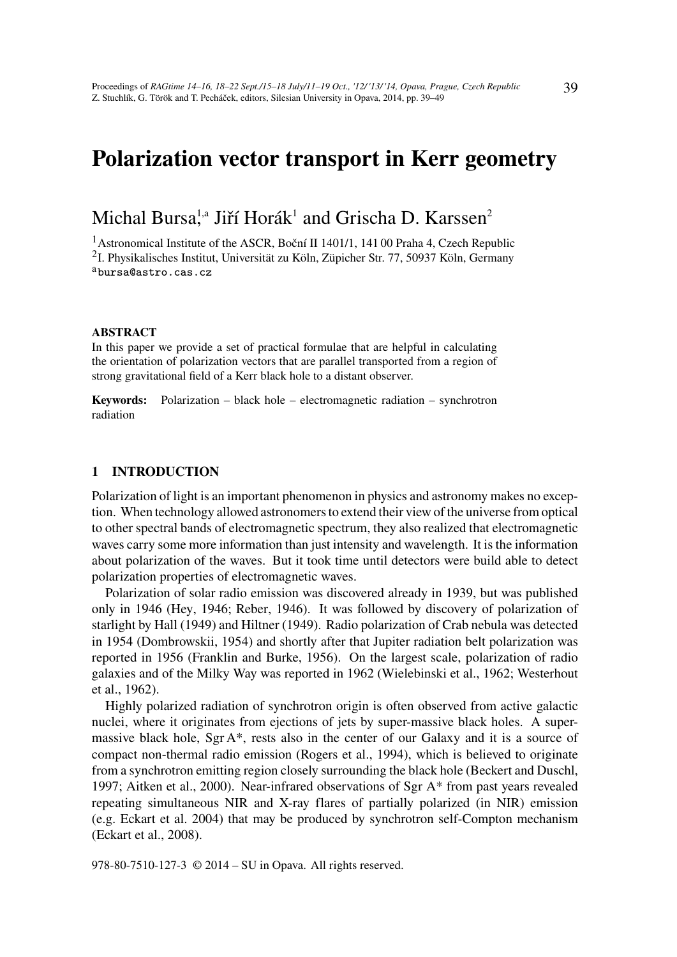# Polarization vector transport in Kerr geometry

# Michal Bursa<sup>!,a</sup> Jiří Horák<sup>1</sup> and Grischa D. Karssen<sup>2</sup>

<sup>1</sup> Astronomical Institute of the ASCR, Boční II 1401/1, 141 00 Praha 4, Czech Republic <sup>2</sup>I. Physikalisches Institut, Universität zu Köln, Züpicher Str. 77, 50937 Köln, Germany <sup>a</sup>bursa@astro.cas.cz

#### ABSTRACT

In this paper we provide a set of practical formulae that are helpful in calculating the orientation of polarization vectors that are parallel transported from a region of strong gravitational field of a Kerr black hole to a distant observer.

Keywords: Polarization – black hole – electromagnetic radiation – synchrotron radiation

#### 1 INTRODUCTION

Polarization of light is an important phenomenon in physics and astronomy makes no exception. When technology allowed astronomers to extend their view of the universe from optical to other spectral bands of electromagnetic spectrum, they also realized that electromagnetic waves carry some more information than just intensity and wavelength. It is the information about polarization of the waves. But it took time until detectors were build able to detect polarization properties of electromagnetic waves.

Polarization of solar radio emission was discovered already in 1939, but was published only in 1946 (Hey, 1946; Reber, 1946). It was followed by discovery of polarization of starlight by Hall (1949) and Hiltner (1949). Radio polarization of Crab nebula was detected in 1954 (Dombrowskii, 1954) and shortly after that Jupiter radiation belt polarization was reported in 1956 (Franklin and Burke, 1956). On the largest scale, polarization of radio galaxies and of the Milky Way was reported in 1962 (Wielebinski et al., 1962; Westerhout et al., 1962).

Highly polarized radiation of synchrotron origin is often observed from active galactic nuclei, where it originates from ejections of jets by super-massive black holes. A supermassive black hole,  $Sgr A^*$ , rests also in the center of our Galaxy and it is a source of compact non-thermal radio emission (Rogers et al., 1994), which is believed to originate from a synchrotron emitting region closely surrounding the black hole (Beckert and Duschl, 1997; Aitken et al., 2000). Near-infrared observations of Sgr A\* from past years revealed repeating simultaneous NIR and X-ray flares of partially polarized (in NIR) emission (e.g. Eckart et al. 2004) that may be produced by synchrotron self-Compton mechanism (Eckart et al., 2008).

978-80-7510-127-3 © 2014 – SU in Opava. All rights reserved.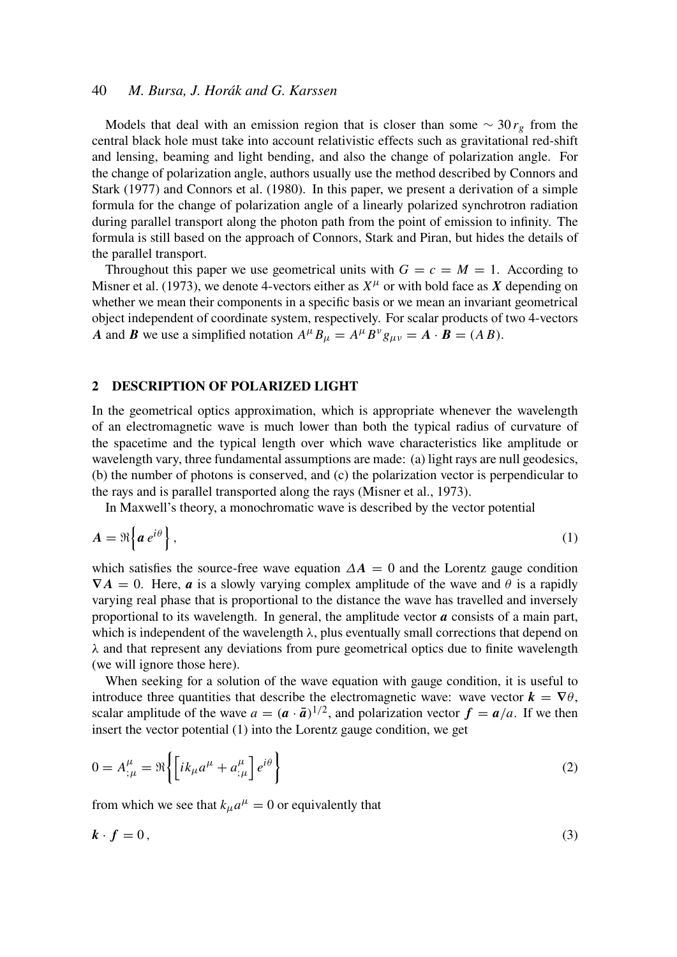#### 40 *M. Bursa, J. Horák and G. Karssen*

Models that deal with an emission region that is closer than some  $\sim 30 r<sub>g</sub>$  from the central black hole must take into account relativistic effects such as gravitational red-shift and lensing, beaming and light bending, and also the change of polarization angle. For the change of polarization angle, authors usually use the method described by Connors and Stark (1977) and Connors et al. (1980). In this paper, we present a derivation of a simple formula for the change of polarization angle of a linearly polarized synchrotron radiation during parallel transport along the photon path from the point of emission to infinity. The formula is still based on the approach of Connors, Stark and Piran, but hides the details of the parallel transport.

Throughout this paper we use geometrical units with  $G = c = M = 1$ . According to Misner et al. (1973), we denote 4-vectors either as  $X^{\mu}$  or with bold face as X depending on whether we mean their components in a specific basis or we mean an invariant geometrical object independent of coordinate system, respectively. For scalar products of two 4-vectors *A* and *B* we use a simplified notation  $A^{\mu}B_{\mu} = A^{\mu}B^{\nu}g_{\mu\nu} = A \cdot B = (AB).$ 

#### 2 DESCRIPTION OF POLARIZED LIGHT

In the geometrical optics approximation, which is appropriate whenever the wavelength of an electromagnetic wave is much lower than both the typical radius of curvature of the spacetime and the typical length over which wave characteristics like amplitude or wavelength vary, three fundamental assumptions are made: (a) light rays are null geodesics, (b) the number of photons is conserved, and (c) the polarization vector is perpendicular to the rays and is parallel transported along the rays (Misner et al., 1973).

In Maxwell's theory, a monochromatic wave is described by the vector potential

$$
A = \Re\left\{a e^{i\theta}\right\},\tag{1}
$$

which satisfies the source-free wave equation  $\Delta A = 0$  and the Lorentz gauge condition  $\nabla A = 0$ . Here, *a* is a slowly varying complex amplitude of the wave and  $\theta$  is a rapidly varying real phase that is proportional to the distance the wave has travelled and inversely proportional to its wavelength. In general, the amplitude vector *a* consists of a main part, which is independent of the wavelength  $\lambda$ , plus eventually small corrections that depend on  $\lambda$  and that represent any deviations from pure geometrical optics due to finite wavelength (we will ignore those here).

When seeking for a solution of the wave equation with gauge condition, it is useful to introduce three quantities that describe the electromagnetic wave: wave vector  $\mathbf{k} = \nabla \theta$ , scalar amplitude of the wave  $a = (\boldsymbol{a} \cdot \boldsymbol{\bar{a}})^{1/2}$ , and polarization vector  $\boldsymbol{f} = \boldsymbol{a}/a$ . If we then insert the vector potential (1) into the Lorentz gauge condition, we get

$$
0 = A^{\mu}_{;\mu} = \Re\left\{ \left[ ik_{\mu} a^{\mu} + a^{\mu}_{;\mu} \right] e^{i\theta} \right\}
$$
 (2)

from which we see that  $k_{\mu}a^{\mu} = 0$  or equivalently that

$$
k \cdot f = 0,\tag{3}
$$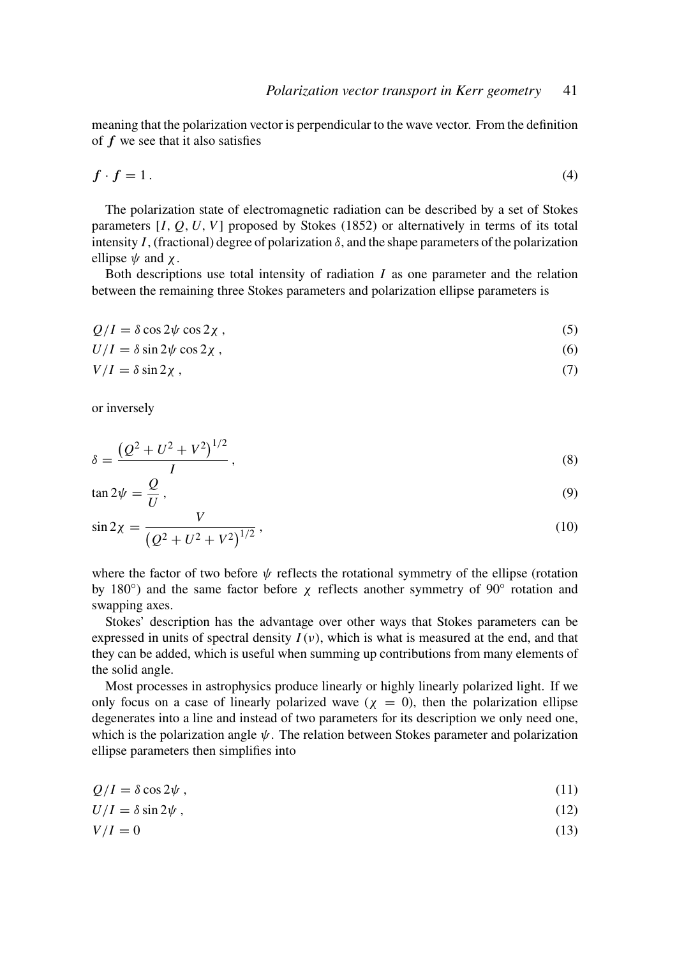meaning that the polarization vector is perpendicular to the wave vector. From the definition of *f* we see that it also satisfies

$$
f \cdot f = 1. \tag{4}
$$

The polarization state of electromagnetic radiation can be described by a set of Stokes parameters [*I*, *Q*, *U*, *V*] proposed by Stokes (1852) or alternatively in terms of its total intensity *I*, (fractional) degree of polarization  $\delta$ , and the shape parameters of the polarization ellipse  $\psi$  and  $\chi$ .

Both descriptions use total intensity of radiation *I* as one parameter and the relation between the remaining three Stokes parameters and polarization ellipse parameters is

$$
Q/I = \delta \cos 2\psi \cos 2\chi \tag{5}
$$

$$
U/I = \delta \sin 2\psi \cos 2\chi \tag{6}
$$

$$
V/I = \delta \sin 2\chi \tag{7}
$$

or inversely

$$
\delta = \frac{\left(Q^2 + U^2 + V^2\right)^{1/2}}{I},\tag{8}
$$

$$
\tan 2\psi = \frac{Q}{U},\tag{9}
$$

$$
\sin 2\chi = \frac{V}{\left(Q^2 + U^2 + V^2\right)^{1/2}}\,,\tag{10}
$$

where the factor of two before  $\psi$  reflects the rotational symmetry of the ellipse (rotation by 180 $\degree$ ) and the same factor before  $\chi$  reflects another symmetry of 90 $\degree$  rotation and swapping axes.

Stokes' description has the advantage over other ways that Stokes parameters can be expressed in units of spectral density  $I(v)$ , which is what is measured at the end, and that they can be added, which is useful when summing up contributions from many elements of the solid angle.

Most processes in astrophysics produce linearly or highly linearly polarized light. If we only focus on a case of linearly polarized wave ( $\chi = 0$ ), then the polarization ellipse degenerates into a line and instead of two parameters for its description we only need one, which is the polarization angle  $\psi$ . The relation between Stokes parameter and polarization ellipse parameters then simplifies into

$$
Q/I = \delta \cos 2\psi \tag{11}
$$

$$
U/I = \delta \sin 2\psi \tag{12}
$$

$$
V/I = 0 \tag{13}
$$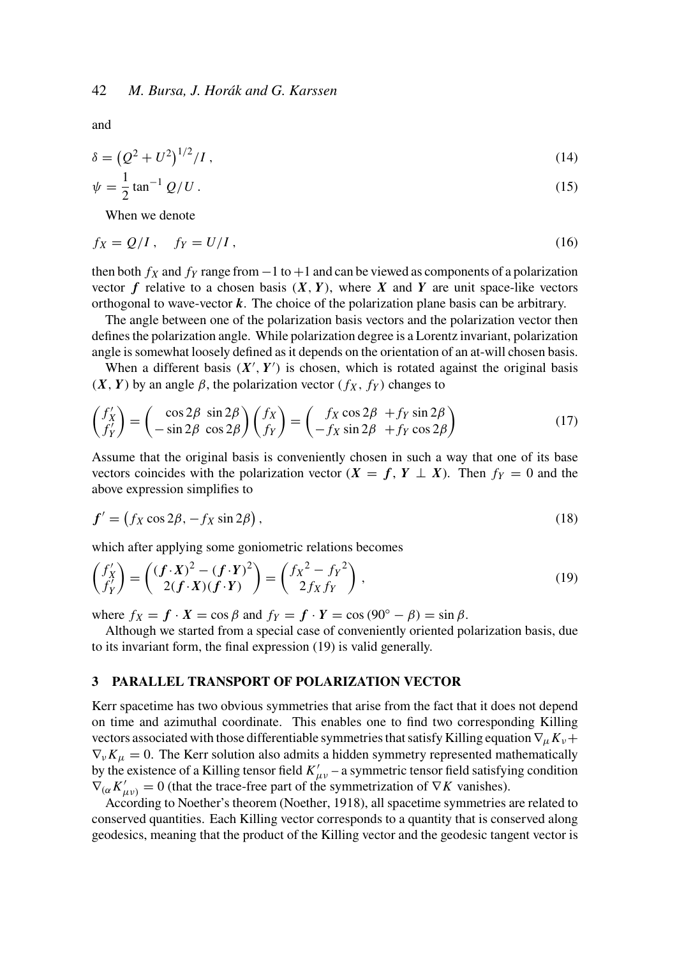and

$$
\delta = (Q^2 + U^2)^{1/2} / I,
$$
\n(14)

$$
\psi = \frac{1}{2} \tan^{-1} Q/U \,. \tag{15}
$$

When we denote

$$
f_X = Q/I, \quad f_Y = U/I,
$$
\n<sup>(16)</sup>

then both  $f_X$  and  $f_Y$  range from  $-1$  to  $+1$  and can be viewed as components of a polarization vector  $f$  relative to a chosen basis  $(X, Y)$ , where  $X$  and  $Y$  are unit space-like vectors orthogonal to wave-vector *k*. The choice of the polarization plane basis can be arbitrary.

The angle between one of the polarization basis vectors and the polarization vector then defines the polarization angle. While polarization degree is a Lorentz invariant, polarization angle is somewhat loosely defined as it depends on the orientation of an at-will chosen basis.

When a different basis  $(X', Y')$  is chosen, which is rotated against the original basis  $(X, Y)$  by an angle  $\beta$ , the polarization vector  $(f_X, f_Y)$  changes to

$$
\begin{pmatrix} f'_X \\ f'_Y \end{pmatrix} = \begin{pmatrix} \cos 2\beta & \sin 2\beta \\ -\sin 2\beta & \cos 2\beta \end{pmatrix} \begin{pmatrix} f_X \\ f_Y \end{pmatrix} = \begin{pmatrix} f_X \cos 2\beta & f_Y \sin 2\beta \\ -f_X \sin 2\beta & f_Y \cos 2\beta \end{pmatrix}
$$
(17)

Assume that the original basis is conveniently chosen in such a way that one of its base vectors coincides with the polarization vector  $(X = f, Y \perp X)$ . Then  $f_Y = 0$  and the above expression simplifies to

$$
f' = (f_X \cos 2\beta, -f_X \sin 2\beta), \qquad (18)
$$

which after applying some goniometric relations becomes

$$
\begin{pmatrix} f'_X \\ f'_Y \end{pmatrix} = \begin{pmatrix} (f \cdot X)^2 - (f \cdot Y)^2 \\ 2(f \cdot X)(f \cdot Y) \end{pmatrix} = \begin{pmatrix} f_X^2 - f_Y^2 \\ 2f_X f_Y \end{pmatrix},
$$
\n(19)

where  $f_X = f \cdot X = \cos \beta$  and  $f_Y = f \cdot Y = \cos(90^\circ - \beta) = \sin \beta$ .

Although we started from a special case of conveniently oriented polarization basis, due to its invariant form, the final expression (19) is valid generally.

#### 3 PARALLEL TRANSPORT OF POLARIZATION VECTOR

Kerr spacetime has two obvious symmetries that arise from the fact that it does not depend on time and azimuthal coordinate. This enables one to find two corresponding Killing vectors associated with those differentiable symmetries that satisfy Killing equation  $\nabla_{\mu} K_{\nu}+$  $\nabla_{\nu}K_{\mu}=0$ . The Kerr solution also admits a hidden symmetry represented mathematically by the existence of a Killing tensor field  $K'_{\mu\nu}$  – a symmetric tensor field satisfying condition  $\nabla_{(\alpha} K'_{\mu\nu)} = 0$  (that the trace-free part of the symmetrization of  $\nabla K$  vanishes).

According to Noether's theorem (Noether, 1918), all spacetime symmetries are related to conserved quantities. Each Killing vector corresponds to a quantity that is conserved along geodesics, meaning that the product of the Killing vector and the geodesic tangent vector is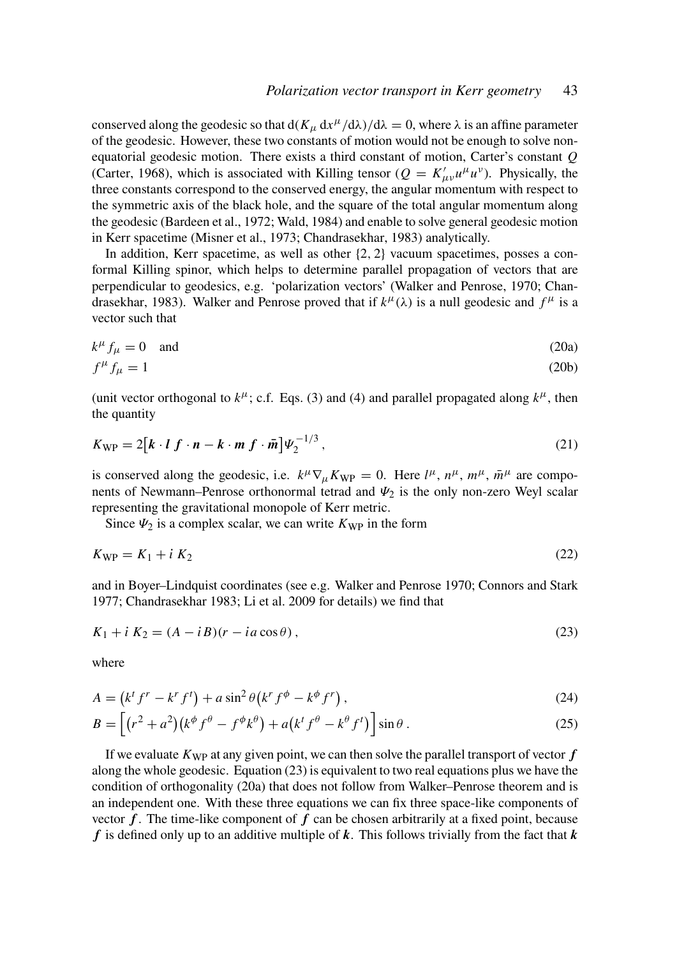conserved along the geodesic so that  $d(K_\mu dx^\mu/d\lambda)/d\lambda = 0$ , where  $\lambda$  is an affine parameter of the geodesic. However, these two constants of motion would not be enough to solve nonequatorial geodesic motion. There exists a third constant of motion, Carter's constant *Q* (Carter, 1968), which is associated with Killing tensor ( $Q = K'_{\mu\nu}u^{\mu}u^{\nu}$ ). Physically, the three constants correspond to the conserved energy, the angular momentum with respect to the symmetric axis of the black hole, and the square of the total angular momentum along the geodesic (Bardeen et al., 1972; Wald, 1984) and enable to solve general geodesic motion in Kerr spacetime (Misner et al., 1973; Chandrasekhar, 1983) analytically.

In addition, Kerr spacetime, as well as other  $\{2, 2\}$  vacuum spacetimes, posses a conformal Killing spinor, which helps to determine parallel propagation of vectors that are perpendicular to geodesics, e.g. 'polarization vectors' (Walker and Penrose, 1970; Chandrasekhar, 1983). Walker and Penrose proved that if  $k^{\mu}(\lambda)$  is a null geodesic and  $f^{\mu}$  is a vector such that

$$
k^{\mu} f_{\mu} = 0 \quad \text{and} \tag{20a}
$$

$$
f^{\mu} f_{\mu} = 1 \tag{20b}
$$

(unit vector orthogonal to  $k^{\mu}$ ; c.f. Eqs. (3) and (4) and parallel propagated along  $k^{\mu}$ , then the quantity

$$
K_{\rm WP} = 2\big[k \cdot l \ f \cdot n - k \cdot m \ f \cdot \bar{m}\big]\Psi_2^{-1/3}\,,\tag{21}
$$

is conserved along the geodesic, i.e.  $k^{\mu} \nabla_{\mu} K_{\text{WP}} = 0$ . Here  $l^{\mu}$ ,  $n^{\mu}$ ,  $m^{\mu}$ ,  $\bar{m}^{\mu}$  are components of Newmann–Penrose orthonormal tetrad and  $\Psi_2$  is the only non-zero Weyl scalar representing the gravitational monopole of Kerr metric.

Since  $\Psi_2$  is a complex scalar, we can write  $K_{\text{WP}}$  in the form

$$
K_{\rm WP} = K_1 + i K_2 \tag{22}
$$

and in Boyer–Lindquist coordinates (see e.g. Walker and Penrose 1970; Connors and Stark 1977; Chandrasekhar 1983; Li et al. 2009 for details) we find that

$$
K_1 + i K_2 = (A - iB)(r - ia\cos\theta),\tag{23}
$$

where

$$
A = \left(k^t f^r - k^r f^t\right) + a \sin^2 \theta \left(k^r f^{\phi} - k^{\phi} f^r\right),\tag{24}
$$

$$
B = \left[ \left( r^2 + a^2 \right) \left( k^{\phi} f^{\theta} - f^{\phi} k^{\theta} \right) + a \left( k^t f^{\theta} - k^{\theta} f^t \right) \right] \sin \theta \,. \tag{25}
$$

If we evaluate  $K_{WP}$  at any given point, we can then solve the parallel transport of vector  $f$ along the whole geodesic. Equation (23) is equivalent to two real equations plus we have the condition of orthogonality (20a) that does not follow from Walker–Penrose theorem and is an independent one. With these three equations we can fix three space-like components of vector  $f$ . The time-like component of  $f$  can be chosen arbitrarily at a fixed point, because *f* is defined only up to an additive multiple of *k*. This follows trivially from the fact that *k*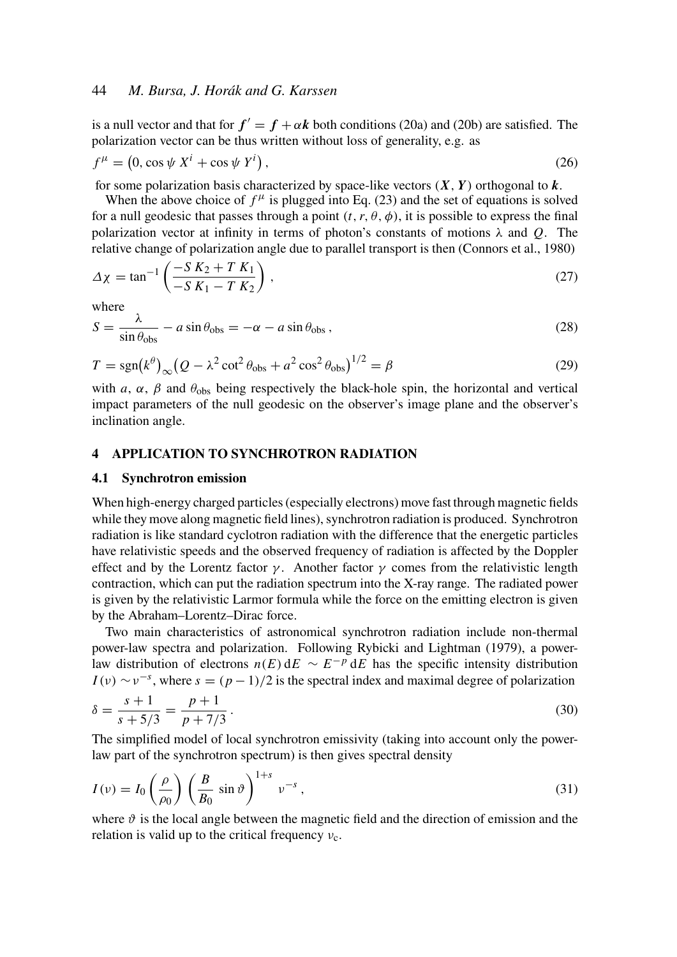is a null vector and that for  $f' = f + \alpha k$  both conditions (20a) and (20b) are satisfied. The polarization vector can be thus written without loss of generality, e.g. as

$$
f^{\mu} = (0, \cos \psi X^{i} + \cos \psi Y^{i}), \qquad (26)
$$

for some polarization basis characterized by space-like vectors  $(X, Y)$  orthogonal to  $k$ .

When the above choice of  $f^{\mu}$  is plugged into Eq. (23) and the set of equations is solved for a null geodesic that passes through a point  $(t, r, \theta, \phi)$ , it is possible to express the final polarization vector at infinity in terms of photon's constants of motions  $\lambda$  and  $Q$ . The relative change of polarization angle due to parallel transport is then (Connors et al., 1980)

$$
\Delta \chi = \tan^{-1} \left( \frac{-S K_2 + T K_1}{-S K_1 - T K_2} \right),
$$
\n(27)

where

$$
S = \frac{\lambda}{\sin \theta_{\text{obs}}} - a \sin \theta_{\text{obs}} = -\alpha - a \sin \theta_{\text{obs}} , \qquad (28)
$$

$$
T = \text{sgn}(k^{\theta})_{\infty} (Q - \lambda^2 \cot^2 \theta_{\text{obs}} + a^2 \cos^2 \theta_{\text{obs}})^{1/2} = \beta
$$
 (29)

with *a*,  $\alpha$ ,  $\beta$  and  $\theta_{obs}$  being respectively the black-hole spin, the horizontal and vertical impact parameters of the null geodesic on the observer's image plane and the observer's inclination angle.

# 4 APPLICATION TO SYNCHROTRON RADIATION

#### 4.1 Synchrotron emission

When high-energy charged particles (especially electrons) move fast through magnetic fields while they move along magnetic field lines), synchrotron radiation is produced. Synchrotron radiation is like standard cyclotron radiation with the difference that the energetic particles have relativistic speeds and the observed frequency of radiation is affected by the Doppler effect and by the Lorentz factor  $\gamma$ . Another factor  $\gamma$  comes from the relativistic length contraction, which can put the radiation spectrum into the X-ray range. The radiated power is given by the relativistic Larmor formula while the force on the emitting electron is given by the Abraham–Lorentz–Dirac force.

Two main characteristics of astronomical synchrotron radiation include non-thermal power-law spectra and polarization. Following Rybicki and Lightman (1979), a powerlaw distribution of electrons  $n(E) dE \sim E^{-p} dE$  has the specific intensity distribution  $I(v) \sim v^{-s}$ , where  $s = (p-1)/2$  is the spectral index and maximal degree of polarization

$$
\delta = \frac{s+1}{s+5/3} = \frac{p+1}{p+7/3} \,. \tag{30}
$$

The simplified model of local synchrotron emissivity (taking into account only the powerlaw part of the synchrotron spectrum) is then gives spectral density

$$
I(v) = I_0\left(\frac{\rho}{\rho_0}\right) \left(\frac{B}{B_0} \sin \vartheta\right)^{1+s} v^{-s},\tag{31}
$$

where  $\vartheta$  is the local angle between the magnetic field and the direction of emission and the relation is valid up to the critical frequency  $v_c$ .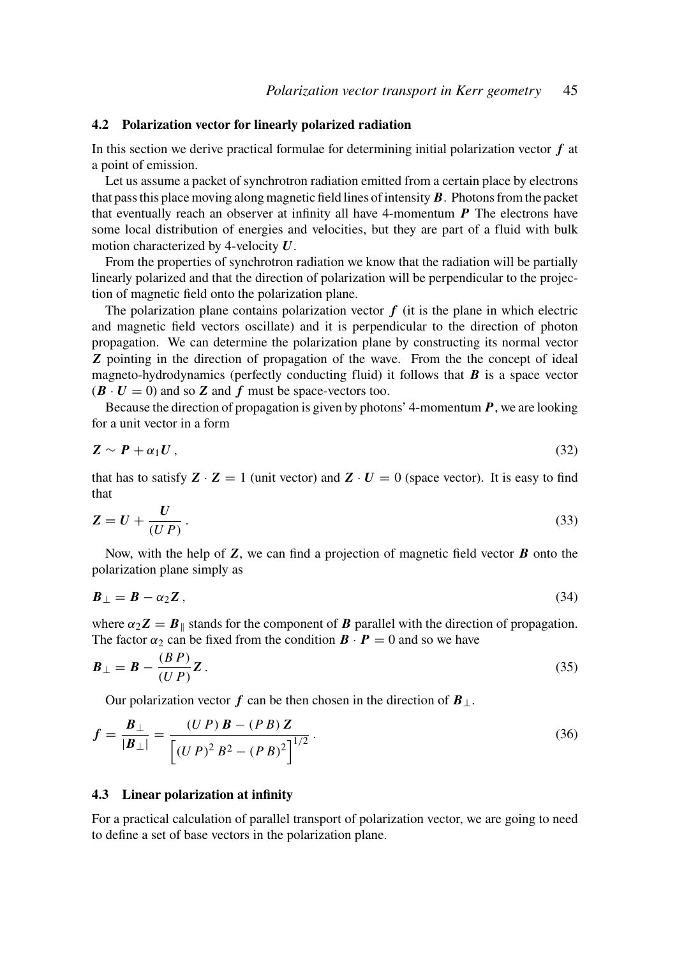#### 4.2 Polarization vector for linearly polarized radiation

In this section we derive practical formulae for determining initial polarization vector *f* at a point of emission.

Let us assume a packet of synchrotron radiation emitted from a certain place by electrons that pass this place moving along magnetic field lines of intensity *B*. Photons from the packet that eventually reach an observer at infinity all have 4-momentum *P* The electrons have some local distribution of energies and velocities, but they are part of a fluid with bulk motion characterized by 4-velocity *U*.

From the properties of synchrotron radiation we know that the radiation will be partially linearly polarized and that the direction of polarization will be perpendicular to the projection of magnetic field onto the polarization plane.

The polarization plane contains polarization vector  $f$  (it is the plane in which electric and magnetic field vectors oscillate) and it is perpendicular to the direction of photon propagation. We can determine the polarization plane by constructing its normal vector *Z* pointing in the direction of propagation of the wave. From the the concept of ideal magneto-hydrodynamics (perfectly conducting fluid) it follows that  $\boldsymbol{B}$  is a space vector  $(\mathbf{B} \cdot \mathbf{U} = 0)$  and so **Z** and **f** must be space-vectors too.

Because the direction of propagation is given by photons' 4-momentum *P*, we are looking for a unit vector in a form

$$
Z \sim P + \alpha_1 U \,, \tag{32}
$$

that has to satisfy  $Z \cdot Z = 1$  (unit vector) and  $Z \cdot U = 0$  (space vector). It is easy to find that

$$
Z = U + \frac{U}{(UP)}.
$$
\n(33)

Now, with the help of *Z*, we can find a projection of magnetic field vector *B* onto the polarization plane simply as

$$
B_{\perp} = B - \alpha_2 Z \,, \tag{34}
$$

where  $\alpha_2 Z = B_{\parallel}$  stands for the component of *B* parallel with the direction of propagation. The factor  $\alpha_2$  can be fixed from the condition  $\mathbf{B} \cdot \mathbf{P} = 0$  and so we have

$$
\boldsymbol{B}_{\perp} = \boldsymbol{B} - \frac{(BP)}{(UP)} \boldsymbol{Z} \,. \tag{35}
$$

Our polarization vector *f* can be then chosen in the direction of  $B_{\perp}$ .

$$
f = \frac{B_{\perp}}{|B_{\perp}|} = \frac{(UP) B - (PB) Z}{[(UP)^{2} B^{2} - (PB)^{2}]}.
$$
\n(36)

#### 4.3 Linear polarization at infinity

For a practical calculation of parallel transport of polarization vector, we are going to need to define a set of base vectors in the polarization plane.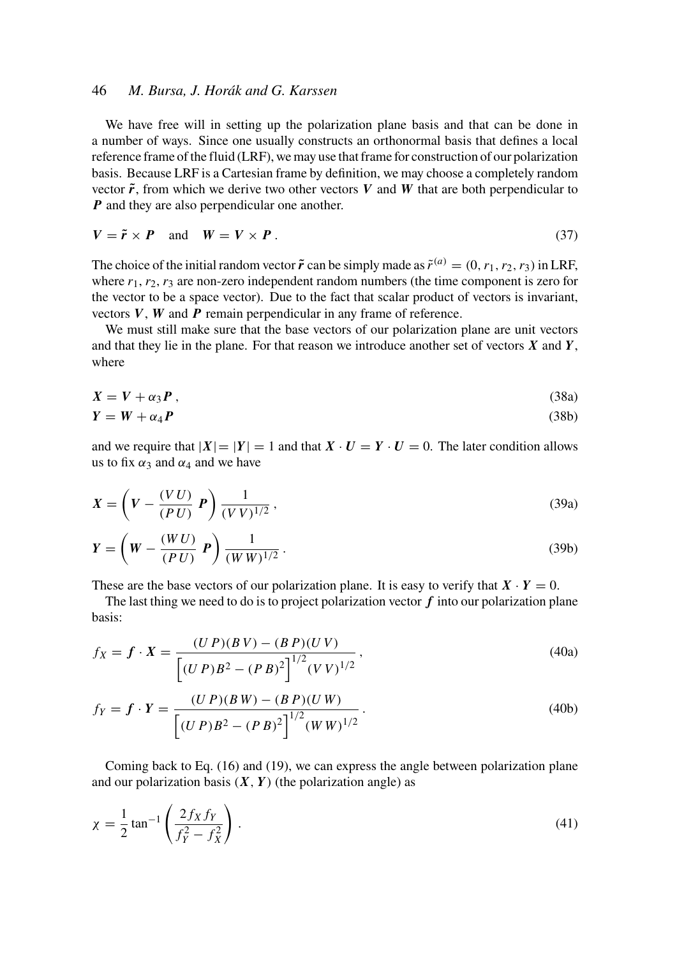## 46 *M. Bursa, J. Horák and G. Karssen*

We have free will in setting up the polarization plane basis and that can be done in a number of ways. Since one usually constructs an orthonormal basis that defines a local reference frame of the fluid (LRF), we may use that frame for construction of our polarization basis. Because LRF is a Cartesian frame by definition, we may choose a completely random vector  $\tilde{r}$ , from which we derive two other vectors *V* and *W* that are both perpendicular to *P* and they are also perpendicular one another.

$$
V = \tilde{r} \times P \quad \text{and} \quad W = V \times P \,. \tag{37}
$$

The choice of the initial random vector  $\tilde{r}$  can be simply made as  $\tilde{r}^{(a)} = (0, r_1, r_2, r_3)$  in LRF, where  $r_1$ ,  $r_2$ ,  $r_3$  are non-zero independent random numbers (the time component is zero for the vector to be a space vector). Due to the fact that scalar product of vectors is invariant, vectors *V*, *W* and *P* remain perpendicular in any frame of reference.

We must still make sure that the base vectors of our polarization plane are unit vectors and that they lie in the plane. For that reason we introduce another set of vectors *X* and *Y*, where

$$
X = V + \alpha_3 P \tag{38a}
$$

$$
Y = W + \alpha_4 P \tag{38b}
$$

and we require that  $|X| = |Y| = 1$  and that  $X \cdot U = Y \cdot U = 0$ . The later condition allows us to fix  $\alpha_3$  and  $\alpha_4$  and we have

$$
X = \left(V - \frac{(VU)}{(PU)} \, \mathbf{P}\right) \frac{1}{(VV)^{1/2}},\tag{39a}
$$

$$
\mathbf{Y} = \left(\mathbf{W} - \frac{(W\,U)}{(P\,U)}\,\mathbf{P}\right)\frac{1}{(W\,W)^{1/2}}\,. \tag{39b}
$$

These are the base vectors of our polarization plane. It is easy to verify that  $X \cdot Y = 0$ .

The last thing we need to do is to project polarization vector  $f$  into our polarization plane basis:

$$
f_X = f \cdot X = \frac{(UP)(BV) - (BP)(UV)}{\left[ (UP)B^2 - (PB)^2 \right]^{1/2} (VV)^{1/2}},
$$
\n(40a)

$$
f_Y = f \cdot Y = \frac{(U P)(B W) - (B P)(U W)}{\left[ (U P)B^2 - (P B)^2 \right]^{1/2} (W W)^{1/2}}.
$$
\n(40b)

Coming back to Eq. (16) and (19), we can express the angle between polarization plane and our polarization basis  $(X, Y)$  (the polarization angle) as

$$
\chi = \frac{1}{2} \tan^{-1} \left( \frac{2f_X f_Y}{f_Y^2 - f_X^2} \right). \tag{41}
$$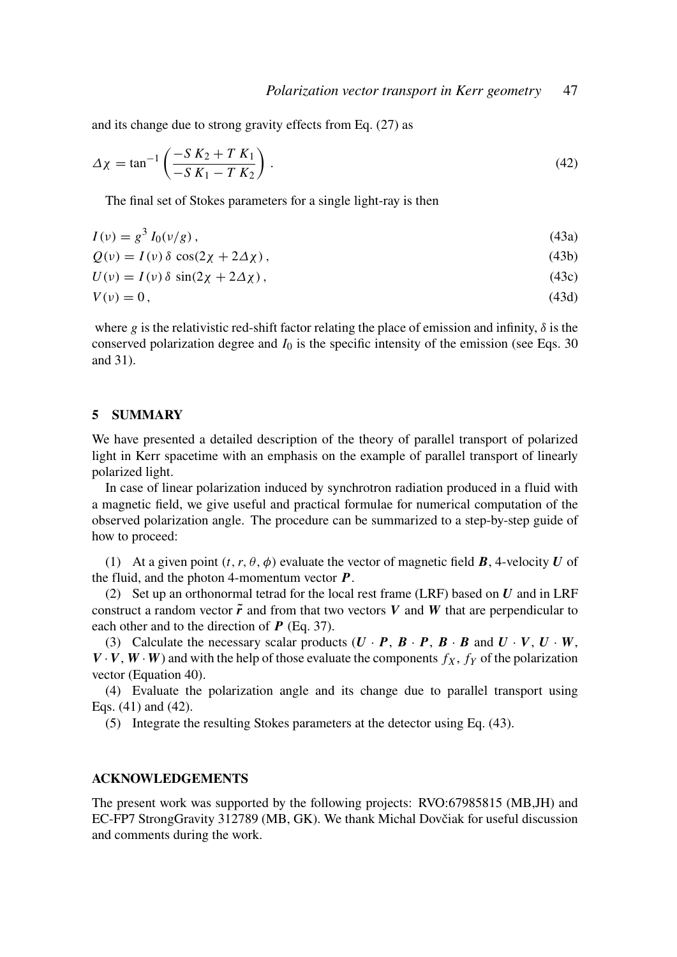and its change due to strong gravity effects from Eq. (27) as

$$
\Delta \chi = \tan^{-1} \left( \frac{-S K_2 + T K_1}{-S K_1 - T K_2} \right). \tag{42}
$$

The final set of Stokes parameters for a single light-ray is then

$$
I(v) = g^3 I_0(v/g), \tag{43a}
$$

$$
Q(v) = I(v) \delta \cos(2\chi + 2\Delta\chi), \qquad (43b)
$$

$$
U(\nu) = I(\nu)\,\delta\,\sin(2\chi + 2\Delta\chi)\,,\tag{43c}
$$

$$
V(v) = 0, \tag{43d}
$$

where *g* is the relativistic red-shift factor relating the place of emission and infinity,  $\delta$  is the conserved polarization degree and  $I_0$  is the specific intensity of the emission (see Eqs. 30) and 31).

### 5 SUMMARY

We have presented a detailed description of the theory of parallel transport of polarized light in Kerr spacetime with an emphasis on the example of parallel transport of linearly polarized light.

In case of linear polarization induced by synchrotron radiation produced in a fluid with a magnetic field, we give useful and practical formulae for numerical computation of the observed polarization angle. The procedure can be summarized to a step-by-step guide of how to proceed:

(1) At a given point  $(t, r, \theta, \phi)$  evaluate the vector of magnetic field **B**, 4-velocity **U** of the fluid, and the photon 4-momentum vector *P*.

(2) Set up an orthonormal tetrad for the local rest frame (LRF) based on *U* and in LRF construct a random vector  $\tilde{r}$  and from that two vectors  $V$  and  $W$  that are perpendicular to each other and to the direction of *P* (Eq. 37).

(3) Calculate the necessary scalar products  $(U \cdot P, B \cdot P, B \cdot B$  and  $U \cdot V, U \cdot W$ ,  $V \cdot V$ ,  $W \cdot W$ ) and with the help of those evaluate the components  $f_X$ ,  $f_Y$  of the polarization vector (Equation 40).

(4) Evaluate the polarization angle and its change due to parallel transport using Eqs. (41) and (42).

(5) Integrate the resulting Stokes parameters at the detector using Eq. (43).

#### ACKNOWLEDGEMENTS

The present work was supported by the following projects: RVO:67985815 (MB,JH) and EC-FP7 StrongGravity 312789 (MB, GK). We thank Michal Dovčiak for useful discussion and comments during the work.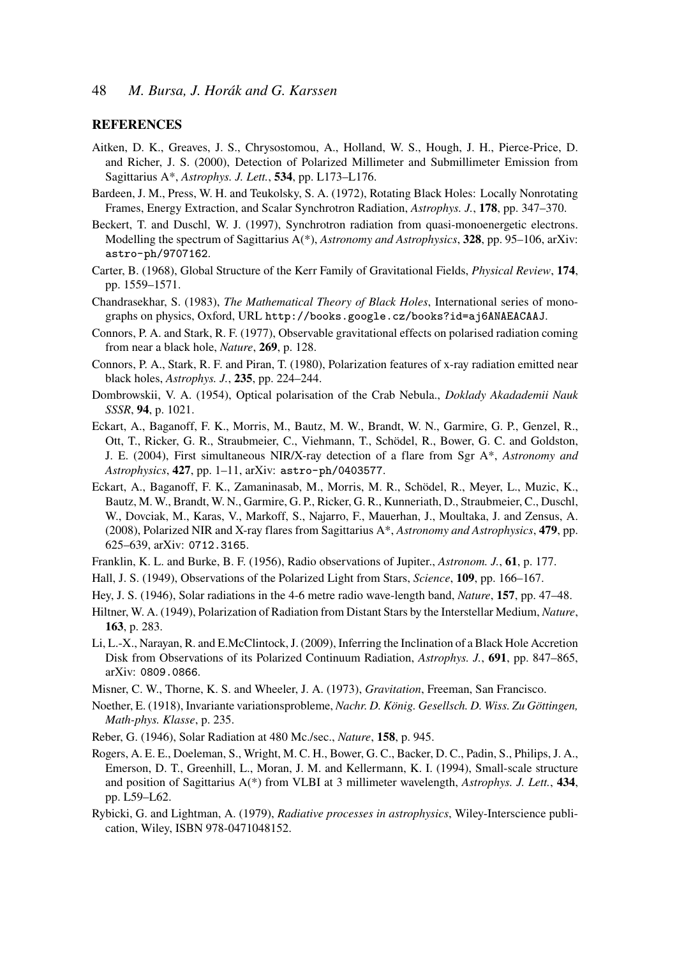#### **REFERENCES**

- Aitken, D. K., Greaves, J. S., Chrysostomou, A., Holland, W. S., Hough, J. H., Pierce-Price, D. and Richer, J. S. (2000), Detection of Polarized Millimeter and Submillimeter Emission from Sagittarius A\*, *Astrophys. J. Lett.*, 534, pp. L173–L176.
- Bardeen, J. M., Press, W. H. and Teukolsky, S. A. (1972), Rotating Black Holes: Locally Nonrotating Frames, Energy Extraction, and Scalar Synchrotron Radiation, *Astrophys. J.*, 178, pp. 347–370.
- Beckert, T. and Duschl, W. J. (1997), Synchrotron radiation from quasi-monoenergetic electrons. Modelling the spectrum of Sagittarius A(\*), *Astronomy and Astrophysics*, 328, pp. 95–106, arXiv: astro-ph/9707162.
- Carter, B. (1968), Global Structure of the Kerr Family of Gravitational Fields, *Physical Review*, 174, pp. 1559–1571.
- Chandrasekhar, S. (1983), *The Mathematical Theory of Black Holes*, International series of monographs on physics, Oxford, URL http://books.google.cz/books?id=aj6ANAEACAAJ.
- Connors, P. A. and Stark, R. F. (1977), Observable gravitational effects on polarised radiation coming from near a black hole, *Nature*, 269, p. 128.
- Connors, P. A., Stark, R. F. and Piran, T. (1980), Polarization features of x-ray radiation emitted near black holes, *Astrophys. J.*, 235, pp. 224–244.
- Dombrowskii, V. A. (1954), Optical polarisation of the Crab Nebula., *Doklady Akadademii Nauk SSSR*, 94, p. 1021.
- Eckart, A., Baganoff, F. K., Morris, M., Bautz, M. W., Brandt, W. N., Garmire, G. P., Genzel, R., Ott, T., Ricker, G. R., Straubmeier, C., Viehmann, T., Schödel, R., Bower, G. C. and Goldston, J. E. (2004), First simultaneous NIR/X-ray detection of a flare from Sgr A\*, *Astronomy and Astrophysics*, 427, pp. 1–11, arXiv: astro-ph/0403577.
- Eckart, A., Baganoff, F. K., Zamaninasab, M., Morris, M. R., Schödel, R., Meyer, L., Muzic, K., Bautz, M. W., Brandt, W. N., Garmire, G. P., Ricker, G. R., Kunneriath, D., Straubmeier, C., Duschl, W., Dovciak, M., Karas, V., Markoff, S., Najarro, F., Mauerhan, J., Moultaka, J. and Zensus, A. (2008), Polarized NIR and X-ray flares from Sagittarius A\*, *Astronomy and Astrophysics*, 479, pp. 625–639, arXiv: 0712.3165.
- Franklin, K. L. and Burke, B. F. (1956), Radio observations of Jupiter., *Astronom. J.*, 61, p. 177.
- Hall, J. S. (1949), Observations of the Polarized Light from Stars, *Science*, 109, pp. 166–167.
- Hey, J. S. (1946), Solar radiations in the 4-6 metre radio wave-length band, *Nature*, 157, pp. 47–48.
- Hiltner, W. A. (1949), Polarization of Radiation from Distant Stars by the Interstellar Medium, *Nature*, 163, p. 283.
- Li, L.-X., Narayan, R. and E.McClintock, J. (2009), Inferring the Inclination of a Black Hole Accretion Disk from Observations of its Polarized Continuum Radiation, *Astrophys. J.*, 691, pp. 847–865, arXiv: 0809.0866.
- Misner, C. W., Thorne, K. S. and Wheeler, J. A. (1973), *Gravitation*, Freeman, San Francisco.
- Noether, E. (1918), Invariante variationsprobleme, *Nachr. D. König. Gesellsch. D. Wiss. Zu Göttingen, Math-phys. Klasse*, p. 235.
- Reber, G. (1946), Solar Radiation at 480 Mc./sec., *Nature*, 158, p. 945.
- Rogers, A. E. E., Doeleman, S., Wright, M. C. H., Bower, G. C., Backer, D. C., Padin, S., Philips, J. A., Emerson, D. T., Greenhill, L., Moran, J. M. and Kellermann, K. I. (1994), Small-scale structure and position of Sagittarius A(\*) from VLBI at 3 millimeter wavelength, *Astrophys. J. Lett.*, 434, pp. L59–L62.
- Rybicki, G. and Lightman, A. (1979), *Radiative processes in astrophysics*, Wiley-Interscience publication, Wiley, ISBN 978-0471048152.